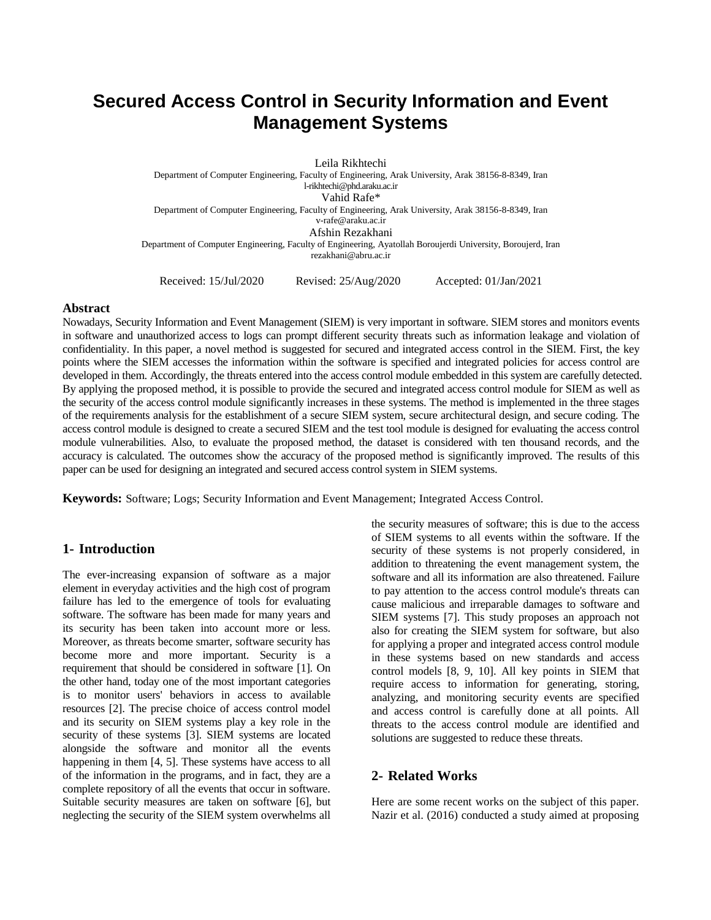# **Secured Access Control in Security Information and Event Management Systems**

Leila Rikhtechi Department of Computer Engineering, Faculty of Engineering, Arak University, Arak 38156-8-8349, Iran l-rikhtechi@phd.araku.ac.ir Vahid Rafe\* Department of Computer Engineering, Faculty of Engineering, Arak University, Arak 38156-8-8349, Iran v-rafe@araku.ac.ir Afshin Rezakhani Department of Computer Engineering, Faculty of Engineering, Ayatollah Boroujerdi University, Boroujerd, Iran rezakhani@abru.ac.ir

Received: 15/Jul/2020 Revised: 25/Aug/2020 Accepted: 01/Jan/2021

# **Abstract**

Nowadays, Security Information and Event Management (SIEM) is very important in software. SIEM stores and monitors events in software and unauthorized access to logs can prompt different security threats such as information leakage and violation of confidentiality. In this paper, a novel method is suggested for secured and integrated access control in the SIEM. First, the key points where the SIEM accesses the information within the software is specified and integrated policies for access control are developed in them. Accordingly, the threats entered into the access control module embedded in this system are carefully detected. By applying the proposed method, it is possible to provide the secured and integrated access control module for SIEM as well as the security of the access control module significantly increases in these systems. The method is implemented in the three stages of the requirements analysis for the establishment of a secure SIEM system, secure architectural design, and secure coding. The access control module is designed to create a secured SIEM and the test tool module is designed for evaluating the access control module vulnerabilities. Also, to evaluate the proposed method, the dataset is considered with ten thousand records, and the accuracy is calculated. The outcomes show the accuracy of the proposed method is significantly improved. The results of this paper can be used for designing an integrated and secured access control system in SIEM systems.

**Keywords:** Software; Logs; Security Information and Event Management; Integrated Access Control.

# **1- Introduction**

The ever-increasing expansion of software as a major element in everyday activities and the high cost of program failure has led to the emergence of tools for evaluating software. The software has been made for many years and its security has been taken into account more or less. Moreover, as threats become smarter, software security has become more and more important. Security is a requirement that should be considered in software [1]. On the other hand, today one of the most important categories is to monitor users' behaviors in access to available resources [2]. The precise choice of access control model and its security on SIEM systems play a key role in the security of these systems [3]. SIEM systems are located alongside the software and monitor all the events happening in them [4, 5]. These systems have access to all of the information in the programs, and in fact, they are a complete repository of all the events that occur in software. Suitable security measures are taken on software [6], but neglecting the security of the SIEM system overwhelms all

the security measures of software; this is due to the access of SIEM systems to all events within the software. If the security of these systems is not properly considered, in addition to threatening the event management system, the software and all its information are also threatened. Failure to pay attention to the access control module's threats can cause malicious and irreparable damages to software and SIEM systems [7]. This study proposes an approach not also for creating the SIEM system for software, but also for applying a proper and integrated access control module in these systems based on new standards and access control models [8, 9, 10]. All key points in SIEM that require access to information for generating, storing, analyzing, and monitoring security events are specified and access control is carefully done at all points. All threats to the access control module are identified and solutions are suggested to reduce these threats.

# **2- Related Works**

Here are some recent works on the subject of this paper. Nazir et al. (2016) conducted a study aimed at proposing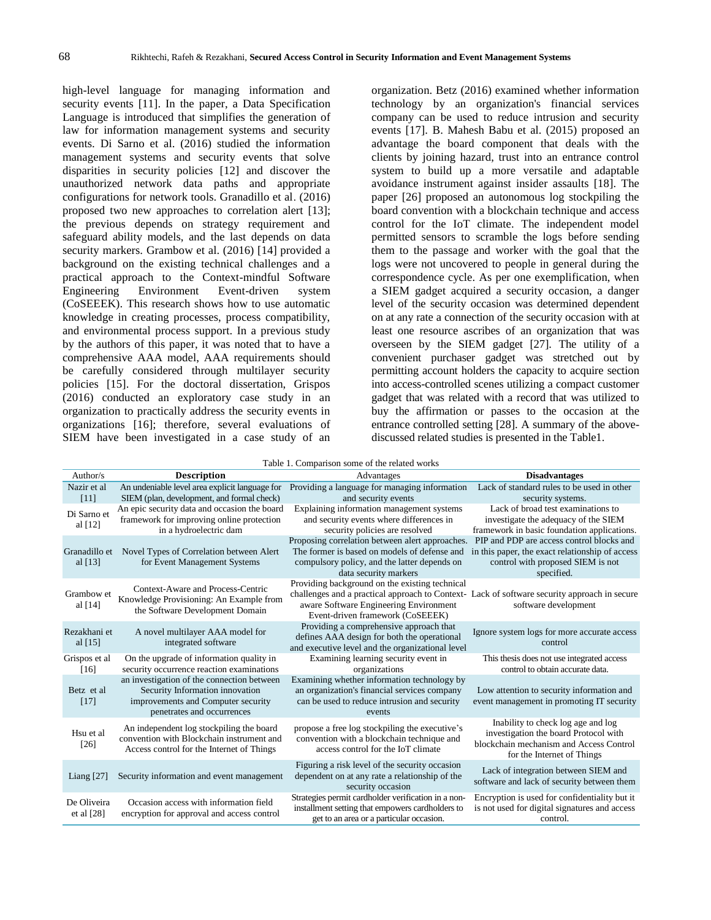high-level language for managing information and security events [11]. In the paper, a Data Specification Language is introduced that simplifies the generation of law for information management systems and security events. Di Sarno et al. (2016) studied the information management systems and security events that solve disparities in security policies [12] and discover the unauthorized network data paths and appropriate configurations for network tools. Granadillo et al. (2016) proposed two new approaches to correlation alert [13]; the previous depends on strategy requirement and safeguard ability models, and the last depends on data security markers. Grambow et al. (2016) [14] provided a background on the existing technical challenges and a practical approach to the Context-mindful Software Engineering Environment Event-driven system (CoSEEEK). This research shows how to use automatic knowledge in creating processes, process compatibility, and environmental process support. In a previous study by the authors of this paper, it was noted that to have a comprehensive AAA model, AAA requirements should be carefully considered through multilayer security policies [15]. For the doctoral dissertation, Grispos (2016) conducted an exploratory case study in an organization to practically address the security events in organizations [16]; therefore, several evaluations of SIEM have been investigated in a case study of an

organization. Betz (2016) examined whether information technology by an organization's financial services company can be used to reduce intrusion and security events [17]. B. Mahesh Babu et al. (2015) proposed an advantage the board component that deals with the clients by joining hazard, trust into an entrance control system to build up a more versatile and adaptable avoidance instrument against insider assaults [18]. The paper [26] proposed an autonomous log stockpiling the board convention with a blockchain technique and access control for the IoT climate. The independent model permitted sensors to scramble the logs before sending them to the passage and worker with the goal that the logs were not uncovered to people in general during the correspondence cycle. As per one exemplification, when a SIEM gadget acquired a security occasion, a danger level of the security occasion was determined dependent on at any rate a connection of the security occasion with at least one resource ascribes of an organization that was overseen by the SIEM gadget [27]. The utility of a convenient purchaser gadget was stretched out by permitting account holders the capacity to acquire section into access-controlled scenes utilizing a compact customer gadget that was related with a record that was utilized to buy the affirmation or passes to the occasion at the entrance controlled setting [28]. A summary of the abovediscussed related studies is presented in the Table1.

Table 1. Comparison some of the related works

| Author/s                                                                                                                                        | <b>Description</b>                                                                                                                                | Table 1. Comparison some of the related works<br>Advantages                                                                                                                                                                 | <b>Disadvantages</b>                                                                                                                                 |  |
|-------------------------------------------------------------------------------------------------------------------------------------------------|---------------------------------------------------------------------------------------------------------------------------------------------------|-----------------------------------------------------------------------------------------------------------------------------------------------------------------------------------------------------------------------------|------------------------------------------------------------------------------------------------------------------------------------------------------|--|
| Nazir et al<br>$[11]$                                                                                                                           | An undeniable level area explicit language for<br>SIEM (plan, development, and formal check)                                                      | Providing a language for managing information<br>and security events                                                                                                                                                        | Lack of standard rules to be used in other<br>security systems.                                                                                      |  |
| An epic security data and occasion the board<br>Di Sarno et<br>framework for improving online protection<br>al $[12]$<br>in a hydroelectric dam |                                                                                                                                                   | Explaining information management systems<br>and security events where differences in<br>security policies are resolved                                                                                                     | Lack of broad test examinations to<br>investigate the adequacy of the SIEM<br>framework in basic foundation applications.                            |  |
| Granadillo et<br>al $[13]$                                                                                                                      | Novel Types of Correlation between Alert<br>for Event Management Systems                                                                          | Proposing correlation between alert approaches.<br>The former is based on models of defense and<br>compulsory policy, and the latter depends on<br>data security markers                                                    | PIP and PDP are access control blocks and<br>in this paper, the exact relationship of access<br>control with proposed SIEM is not<br>specified.      |  |
| Grambow et<br>al $[14]$                                                                                                                         | Context-Aware and Process-Centric<br>Knowledge Provisioning: An Example from<br>the Software Development Domain                                   | Providing background on the existing technical<br>challenges and a practical approach to Context-Lack of software security approach in secure<br>aware Software Engineering Environment<br>Event-driven framework (CoSEEEK) | software development                                                                                                                                 |  |
| Rezakhani et<br>al $[15]$                                                                                                                       | A novel multilayer AAA model for<br>integrated software                                                                                           | Providing a comprehensive approach that<br>defines AAA design for both the operational<br>and executive level and the organizational level                                                                                  | Ignore system logs for more accurate access<br>control                                                                                               |  |
| Grispos et al<br>$[16]$                                                                                                                         | On the upgrade of information quality in<br>security occurrence reaction examinations                                                             | Examining learning security event in<br>organizations                                                                                                                                                                       | This thesis does not use integrated access<br>control to obtain accurate data.                                                                       |  |
| Betz et al.<br>$[17]$                                                                                                                           | an investigation of the connection between<br>Security Information innovation<br>improvements and Computer security<br>penetrates and occurrences | Examining whether information technology by<br>an organization's financial services company<br>can be used to reduce intrusion and security<br>events                                                                       | Low attention to security information and<br>event management in promoting IT security                                                               |  |
| Hsu et al<br>$[26]$                                                                                                                             | An independent log stockpiling the board<br>convention with Blockchain instrument and<br>Access control for the Internet of Things                | propose a free log stockpiling the executive's<br>convention with a blockchain technique and<br>access control for the IoT climate                                                                                          | Inability to check log age and log<br>investigation the board Protocol with<br>blockchain mechanism and Access Control<br>for the Internet of Things |  |
| Liang $[27]$                                                                                                                                    | Security information and event management                                                                                                         | Figuring a risk level of the security occasion<br>dependent on at any rate a relationship of the<br>security occasion                                                                                                       | Lack of integration between SIEM and<br>software and lack of security between them                                                                   |  |
| De Oliveira<br>et al $[28]$                                                                                                                     | Occasion access with information field<br>encryption for approval and access control                                                              | Strategies permit cardholder verification in a non-<br>installment setting that empowers cardholders to<br>get to an area or a particular occasion.                                                                         | Encryption is used for confidentiality but it<br>is not used for digital signatures and access<br>control.                                           |  |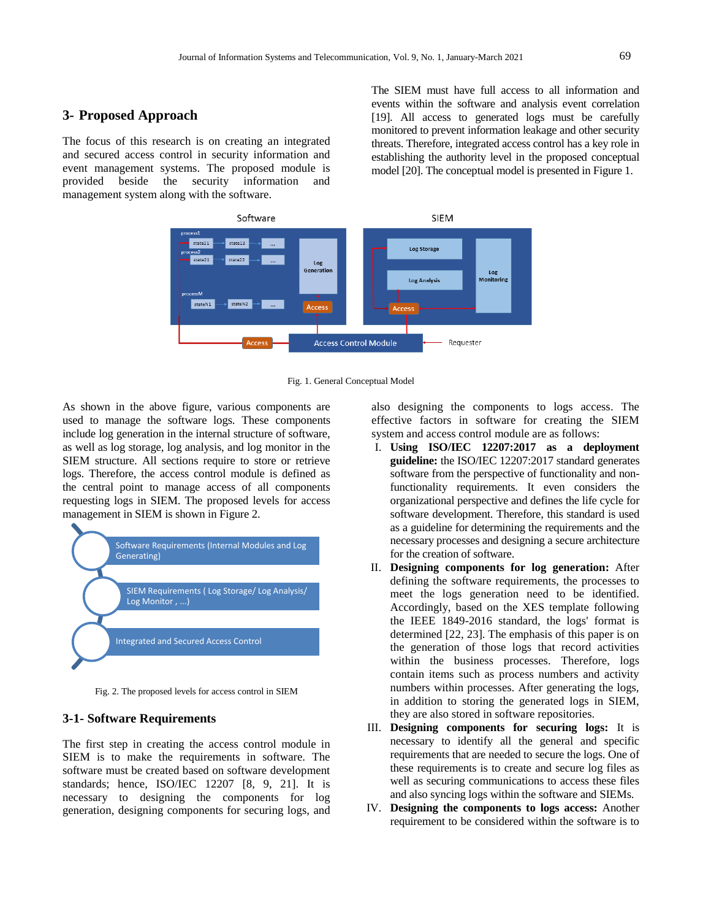# **3- Proposed Approach**

The focus of this research is on creating an integrated and secured access control in security information and event management systems. The proposed module is provided beside the security information and management system along with the software.

The SIEM must have full access to all information and events within the software and analysis event correlation [19]. All access to generated logs must be carefully monitored to prevent information leakage and other security threats. Therefore, integrated access control has a key role in establishing the authority level in the proposed conceptual model [20]. The conceptual model is presented in Figure 1.



Fig. 1. General Conceptual Model

As shown in the above figure, various components are used to manage the software logs. These components include log generation in the internal structure of software, as well as log storage, log analysis, and log monitor in the SIEM structure. All sections require to store or retrieve logs. Therefore, the access control module is defined as the central point to manage access of all components requesting logs in SIEM. The proposed levels for access management in SIEM is shown in Figure 2.



Fig. 2. The proposed levels for access control in SIEM

# **3-1- Software Requirements**

The first step in creating the access control module in SIEM is to make the requirements in software. The software must be created based on software development standards; hence, ISO/IEC 12207 [8, 9, 21]. It is necessary to designing the components for log generation, designing components for securing logs, and

also designing the components to logs access. The effective factors in software for creating the SIEM system and access control module are as follows:

- I. **Using ISO/IEC 12207:2017 as a deployment guideline:** the ISO/IEC 12207:2017 standard generates software from the perspective of functionality and nonfunctionality requirements. It even considers the organizational perspective and defines the life cycle for software development. Therefore, this standard is used as a guideline for determining the requirements and the necessary processes and designing a secure architecture for the creation of software.
- II. **Designing components for log generation:** After defining the software requirements, the processes to meet the logs generation need to be identified. Accordingly, based on the XES template following the IEEE 1849-2016 standard, the logs' format is determined [22, 23]. The emphasis of this paper is on the generation of those logs that record activities within the business processes. Therefore, logs contain items such as process numbers and activity numbers within processes. After generating the logs, in addition to storing the generated logs in SIEM, they are also stored in software repositories.
- III. **Designing components for securing logs:** It is necessary to identify all the general and specific requirements that are needed to secure the logs. One of these requirements is to create and secure log files as well as securing communications to access these files and also syncing logs within the software and SIEMs.
- IV. **Designing the components to logs access:** Another requirement to be considered within the software is to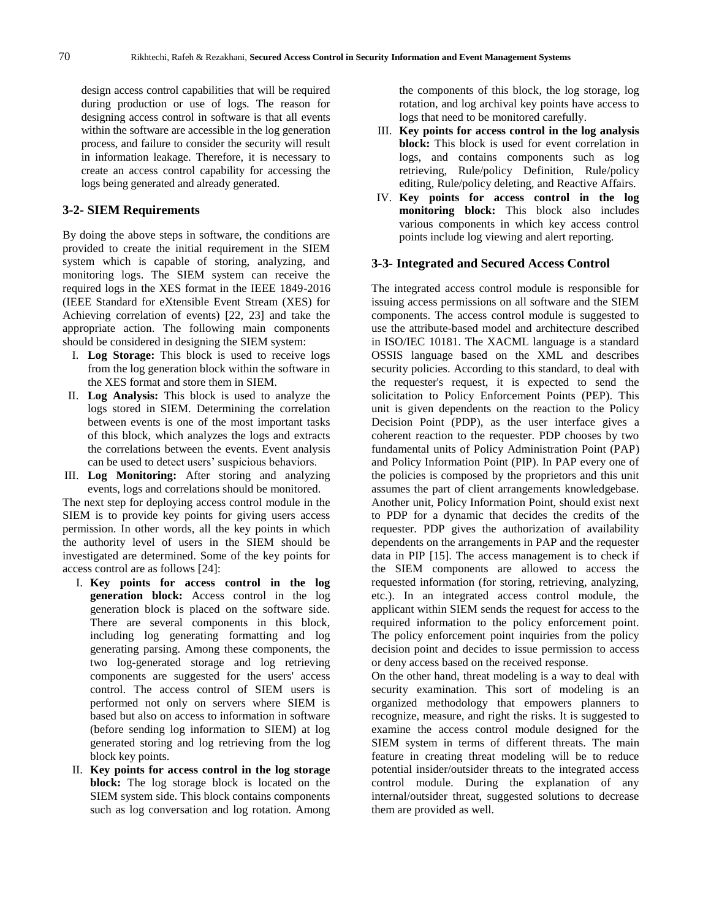design access control capabilities that will be required during production or use of logs. The reason for designing access control in software is that all events within the software are accessible in the log generation process, and failure to consider the security will result in information leakage. Therefore, it is necessary to create an access control capability for accessing the logs being generated and already generated.

# **3-2- SIEM Requirements**

By doing the above steps in software, the conditions are provided to create the initial requirement in the SIEM system which is capable of storing, analyzing, and monitoring logs. The SIEM system can receive the required logs in the XES format in the IEEE 1849-2016 (IEEE Standard for eXtensible Event Stream (XES) for Achieving correlation of events) [22, 23] and take the appropriate action. The following main components should be considered in designing the SIEM system:

- I. **Log Storage:** This block is used to receive logs from the log generation block within the software in the XES format and store them in SIEM.
- II. **Log Analysis:** This block is used to analyze the logs stored in SIEM. Determining the correlation between events is one of the most important tasks of this block, which analyzes the logs and extracts the correlations between the events. Event analysis can be used to detect users' suspicious behaviors.
- III. **Log Monitoring:** After storing and analyzing events, logs and correlations should be monitored.

The next step for deploying access control module in the SIEM is to provide key points for giving users access permission. In other words, all the key points in which the authority level of users in the SIEM should be investigated are determined. Some of the key points for access control are as follows [24]:

- I. **Key points for access control in the log generation block:** Access control in the log generation block is placed on the software side. There are several components in this block, including log generating formatting and log generating parsing. Among these components, the two log-generated storage and log retrieving components are suggested for the users' access control. The access control of SIEM users is performed not only on servers where SIEM is based but also on access to information in software (before sending log information to SIEM) at log generated storing and log retrieving from the log block key points.
- II. **Key points for access control in the log storage block:** The log storage block is located on the SIEM system side. This block contains components such as log conversation and log rotation. Among

the components of this block, the log storage, log rotation, and log archival key points have access to logs that need to be monitored carefully.

- III. **Key points for access control in the log analysis block:** This block is used for event correlation in logs, and contains components such as log retrieving, Rule/policy Definition, Rule/policy editing, Rule/policy deleting, and Reactive Affairs.
- IV. **Key points for access control in the log monitoring block:** This block also includes various components in which key access control points include log viewing and alert reporting.

## **3-3- Integrated and Secured Access Control**

The integrated access control module is responsible for issuing access permissions on all software and the SIEM components. The access control module is suggested to use the attribute-based model and architecture described in ISO/IEC 10181. The XACML language is a standard OSSIS language based on the XML and describes security policies. According to this standard, to deal with the requester's request, it is expected to send the solicitation to Policy Enforcement Points (PEP). This unit is given dependents on the reaction to the Policy Decision Point (PDP), as the user interface gives a coherent reaction to the requester. PDP chooses by two fundamental units of Policy Administration Point (PAP) and Policy Information Point (PIP). In PAP every one of the policies is composed by the proprietors and this unit assumes the part of client arrangements knowledgebase. Another unit, Policy Information Point, should exist next to PDP for a dynamic that decides the credits of the requester. PDP gives the authorization of availability dependents on the arrangements in PAP and the requester data in PIP [15]. The access management is to check if the SIEM components are allowed to access the requested information (for storing, retrieving, analyzing, etc.). In an integrated access control module, the applicant within SIEM sends the request for access to the required information to the policy enforcement point. The policy enforcement point inquiries from the policy decision point and decides to issue permission to access or deny access based on the received response.

On the other hand, threat modeling is a way to deal with security examination. This sort of modeling is an organized methodology that empowers planners to recognize, measure, and right the risks. It is suggested to examine the access control module designed for the SIEM system in terms of different threats. The main feature in creating threat modeling will be to reduce potential insider/outsider threats to the integrated access control module. During the explanation of any internal/outsider threat, suggested solutions to decrease them are provided as well.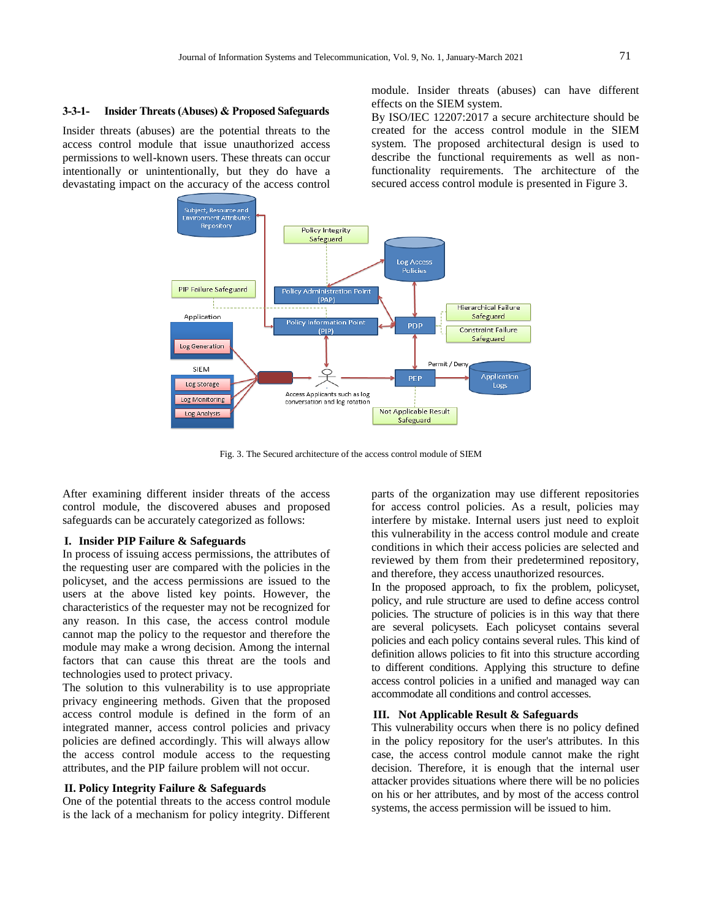#### **3-3-1- Insider Threats (Abuses) & Proposed Safeguards**

Insider threats (abuses) are the potential threats to the access control module that issue unauthorized access permissions to well-known users. These threats can occur intentionally or unintentionally, but they do have a devastating impact on the accuracy of the access control module. Insider threats (abuses) can have different effects on the SIEM system.

By ISO/IEC 12207:2017 a secure architecture should be created for the access control module in the SIEM system. The proposed architectural design is used to describe the functional requirements as well as nonfunctionality requirements. The architecture of the secured access control module is presented in Figure 3.



Fig. 3. The Secured architecture of the access control module of SIEM

After examining different insider threats of the access control module, the discovered abuses and proposed safeguards can be accurately categorized as follows:

#### **I. Insider PIP Failure & Safeguards**

In process of issuing access permissions, the attributes of the requesting user are compared with the policies in the policyset, and the access permissions are issued to the users at the above listed key points. However, the characteristics of the requester may not be recognized for any reason. In this case, the access control module cannot map the policy to the requestor and therefore the module may make a wrong decision. Among the internal factors that can cause this threat are the tools and technologies used to protect privacy.

The solution to this vulnerability is to use appropriate privacy engineering methods. Given that the proposed access control module is defined in the form of an integrated manner, access control policies and privacy policies are defined accordingly. This will always allow the access control module access to the requesting attributes, and the PIP failure problem will not occur.

#### **II. Policy Integrity Failure & Safeguards**

One of the potential threats to the access control module is the lack of a mechanism for policy integrity. Different parts of the organization may use different repositories for access control policies. As a result, policies may interfere by mistake. Internal users just need to exploit this vulnerability in the access control module and create conditions in which their access policies are selected and reviewed by them from their predetermined repository, and therefore, they access unauthorized resources.

In the proposed approach, to fix the problem, policyset, policy, and rule structure are used to define access control policies. The structure of policies is in this way that there are several policysets. Each policyset contains several policies and each policy contains several rules. This kind of definition allows policies to fit into this structure according to different conditions. Applying this structure to define access control policies in a unified and managed way can accommodate all conditions and control accesses.

## **III. Not Applicable Result & Safeguards**

This vulnerability occurs when there is no policy defined in the policy repository for the user's attributes. In this case, the access control module cannot make the right decision. Therefore, it is enough that the internal user attacker provides situations where there will be no policies on his or her attributes, and by most of the access control systems, the access permission will be issued to him.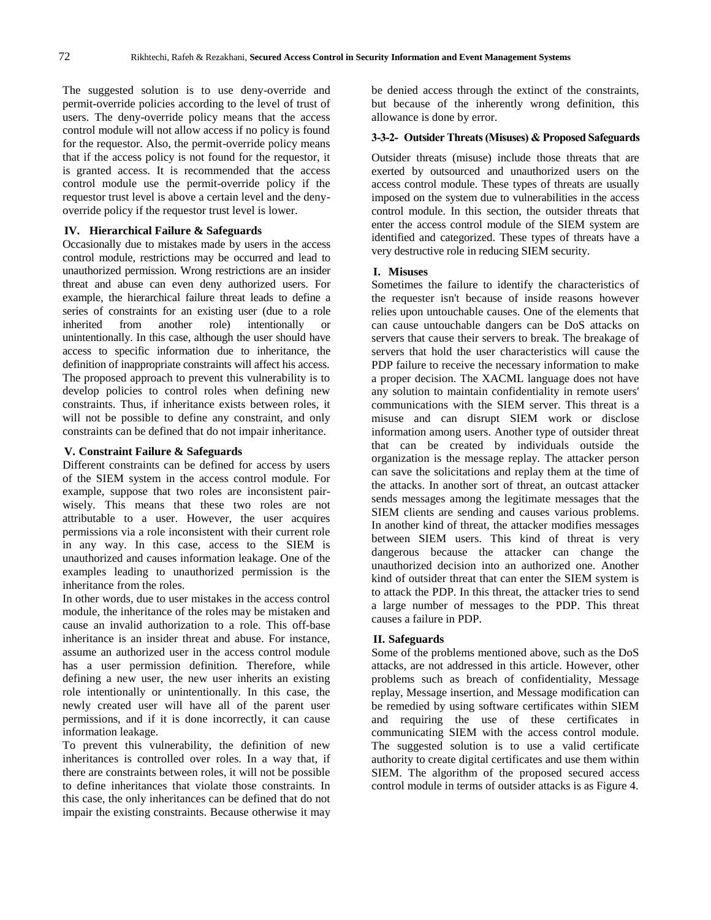The suggested solution is to use deny-override and permit-override policies according to the level of trust of users. The deny-override policy means that the access control module will not allow access if no policy is found for the requestor. Also, the permit-override policy means that if the access policy is not found for the requestor, it is granted access. It is recommended that the access control module use the permit-override policy if the requestor trust level is above a certain level and the denyoverride policy if the requestor trust level is lower.

# **IV. Hierarchical Failure & Safeguards**

Occasionally due to mistakes made by users in the access control module, restrictions may be occurred and lead to unauthorized permission. Wrong restrictions are an insider threat and abuse can even deny authorized users. For example, the hierarchical failure threat leads to define a series of constraints for an existing user (due to a role inherited from another role) intentionally or unintentionally. In this case, although the user should have access to specific information due to inheritance, the definition of inappropriate constraints will affect his access. The proposed approach to prevent this vulnerability is to develop policies to control roles when defining new constraints. Thus, if inheritance exists between roles, it will not be possible to define any constraint, and only constraints can be defined that do not impair inheritance.

#### **V. Constraint Failure & Safeguards**

Different constraints can be defined for access by users of the SIEM system in the access control module. For example, suppose that two roles are inconsistent pairwisely. This means that these two roles are not attributable to a user. However, the user acquires permissions via a role inconsistent with their current role in any way. In this case, access to the SIEM is unauthorized and causes information leakage. One of the examples leading to unauthorized permission is the inheritance from the roles.

In other words, due to user mistakes in the access control module, the inheritance of the roles may be mistaken and cause an invalid authorization to a role. This off-base inheritance is an insider threat and abuse. For instance, assume an authorized user in the access control module has a user permission definition. Therefore, while defining a new user, the new user inherits an existing role intentionally or unintentionally. In this case, the newly created user will have all of the parent user permissions, and if it is done incorrectly, it can cause information leakage.

To prevent this vulnerability, the definition of new inheritances is controlled over roles. In a way that, if there are constraints between roles, it will not be possible to define inheritances that violate those constraints. In this case, the only inheritances can be defined that do not impair the existing constraints. Because otherwise it may

be denied access through the extinct of the constraints, but because of the inherently wrong definition, this allowance is done by error.

## **3-3-2- Outsider Threats (Misuses) & Proposed Safeguards**

Outsider threats (misuse) include those threats that are exerted by outsourced and unauthorized users on the access control module. These types of threats are usually imposed on the system due to vulnerabilities in the access control module. In this section, the outsider threats that enter the access control module of the SIEM system are identified and categorized. These types of threats have a very destructive role in reducing SIEM security.

#### **I. Misuses**

Sometimes the failure to identify the characteristics of the requester isn't because of inside reasons however relies upon untouchable causes. One of the elements that can cause untouchable dangers can be DoS attacks on servers that cause their servers to break. The breakage of servers that hold the user characteristics will cause the PDP failure to receive the necessary information to make a proper decision. The XACML language does not have any solution to maintain confidentiality in remote users' communications with the SIEM server. This threat is a misuse and can disrupt SIEM work or disclose information among users. Another type of outsider threat that can be created by individuals outside the organization is the message replay. The attacker person can save the solicitations and replay them at the time of the attacks. In another sort of threat, an outcast attacker sends messages among the legitimate messages that the SIEM clients are sending and causes various problems. In another kind of threat, the attacker modifies messages between SIEM users. This kind of threat is very dangerous because the attacker can change the unauthorized decision into an authorized one. Another kind of outsider threat that can enter the SIEM system is to attack the PDP. In this threat, the attacker tries to send a large number of messages to the PDP. This threat causes a failure in PDP.

#### **II. Safeguards**

Some of the problems mentioned above, such as the DoS attacks, are not addressed in this article. However, other problems such as breach of confidentiality, Message replay, Message insertion, and Message modification can be remedied by using software certificates within SIEM and requiring the use of these certificates in communicating SIEM with the access control module. The suggested solution is to use a valid certificate authority to create digital certificates and use them within SIEM. The algorithm of the proposed secured access control module in terms of outsider attacks is as Figure 4.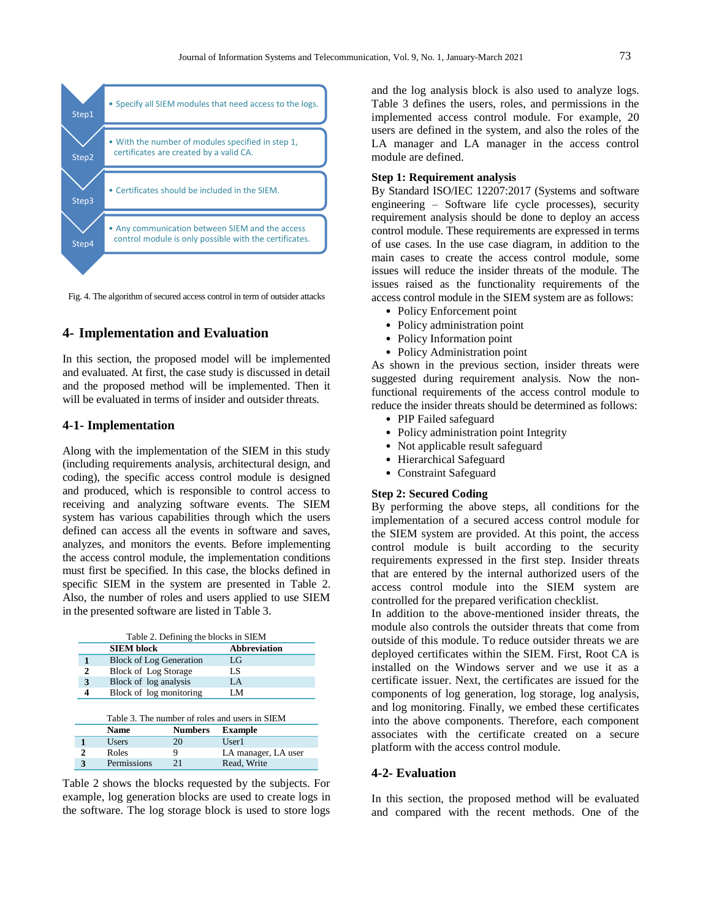

Fig. 4. The algorithm of secured access control in term of outsider attacks

# **4- Implementation and Evaluation**

In this section, the proposed model will be implemented and evaluated. At first, the case study is discussed in detail and the proposed method will be implemented. Then it will be evaluated in terms of insider and outsider threats.

## **4-1- Implementation**

Along with the implementation of the SIEM in this study (including requirements analysis, architectural design, and coding), the specific access control module is designed and produced, which is responsible to control access to receiving and analyzing software events. The SIEM system has various capabilities through which the users defined can access all the events in software and saves, analyzes, and monitors the events. Before implementing the access control module, the implementation conditions must first be specified. In this case, the blocks defined in specific SIEM in the system are presented in Table 2. Also, the number of roles and users applied to use SIEM in the presented software are listed in Table 3.

|   |                                | Table 2. Defining the blocks in SIEM           |  |
|---|--------------------------------|------------------------------------------------|--|
|   | <b>SIEM block</b>              | Abbreviation                                   |  |
|   | <b>Block of Log Generation</b> | LG                                             |  |
| 2 | Block of Log Storage           | LS                                             |  |
| 3 | Block of log analysis          | LA                                             |  |
| 4 | Block of log monitoring        | LM                                             |  |
|   |                                |                                                |  |
|   |                                | Table 3. The number of roles and users in SIEM |  |
|   | <b>Numbers</b><br>Name         | <b>Example</b>                                 |  |

Table 2 shows the blocks requested by the subjects. For example, log generation blocks are used to create logs in the software. The log storage block is used to store logs

2 Roles 9 LA manager, LA user **3** Permissions 21 Read, Write

**1** Users 20 User1<br>**2** Roles 9 LA m

and the log analysis block is also used to analyze logs. Table 3 defines the users, roles, and permissions in the implemented access control module. For example, 20 users are defined in the system, and also the roles of the LA manager and LA manager in the access control module are defined.

## **Step 1: Requirement analysis**

By Standard ISO/IEC 12207:2017 (Systems and software engineering – Software life cycle processes), security requirement analysis should be done to deploy an access control module. These requirements are expressed in terms of use cases. In the use case diagram, in addition to the main cases to create the access control module, some issues will reduce the insider threats of the module. The issues raised as the functionality requirements of the access control module in the SIEM system are as follows:

- Policy Enforcement point
- Policy administration point
- Policy Information point
- Policy Administration point

As shown in the previous section, insider threats were suggested during requirement analysis. Now the nonfunctional requirements of the access control module to reduce the insider threats should be determined as follows:

- PIP Failed safeguard
- Policy administration point Integrity
- Not applicable result safeguard
- Hierarchical Safeguard
- Constraint Safeguard

## **Step 2: Secured Coding**

By performing the above steps, all conditions for the implementation of a secured access control module for the SIEM system are provided. At this point, the access control module is built according to the security requirements expressed in the first step. Insider threats that are entered by the internal authorized users of the access control module into the SIEM system are controlled for the prepared verification checklist.

In addition to the above-mentioned insider threats, the module also controls the outsider threats that come from outside of this module. To reduce outsider threats we are deployed certificates within the SIEM. First, Root CA is installed on the Windows server and we use it as a certificate issuer. Next, the certificates are issued for the components of log generation, log storage, log analysis, and log monitoring. Finally, we embed these certificates into the above components. Therefore, each component associates with the certificate created on a secure platform with the access control module.

# **4-2- Evaluation**

In this section, the proposed method will be evaluated and compared with the recent methods. One of the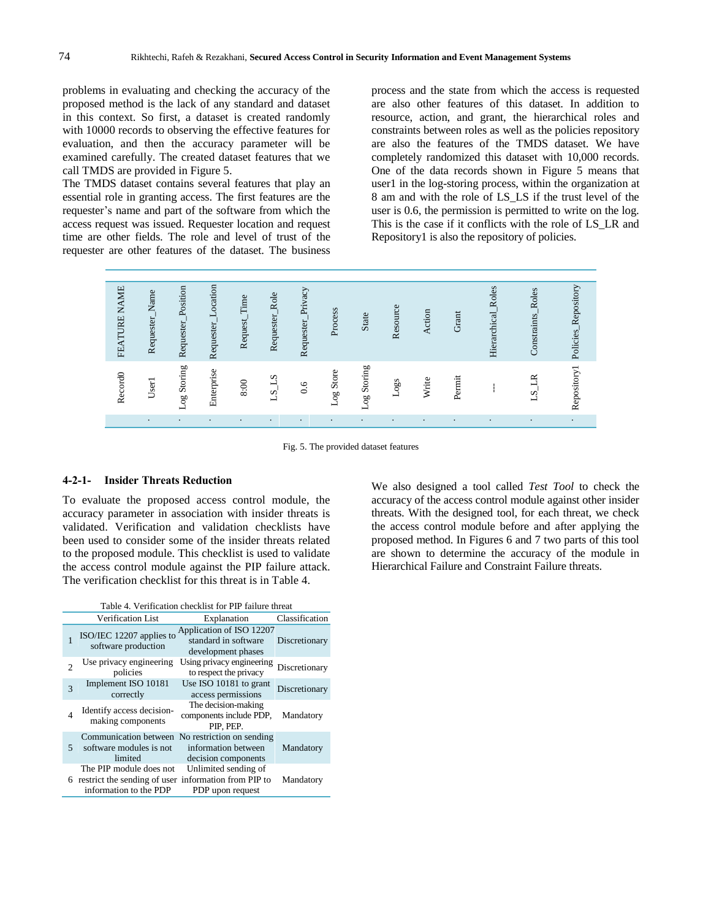problems in evaluating and checking the accuracy of the proposed method is the lack of any standard and dataset in this context. So first, a dataset is created randomly with 10000 records to observing the effective features for evaluation, and then the accuracy parameter will be examined carefully. The created dataset features that we call TMDS are provided in Figure 5.

The TMDS dataset contains several features that play an essential role in granting access. The first features are the requester's name and part of the software from which the access request was issued. Requester location and request time are other fields. The role and level of trust of the requester are other features of the dataset. The business process and the state from which the access is requested are also other features of this dataset. In addition to resource, action, and grant, the hierarchical roles and constraints between roles as well as the policies repository are also the features of the TMDS dataset. We have completely randomized this dataset with 10,000 records. One of the data records shown in Figure 5 means that user1 in the log-storing process, within the organization at 8 am and with the role of LS\_LS if the trust level of the user is 0.6, the permission is permitted to write on the log. This is the case if it conflicts with the role of LS\_LR and Repository1 is also the repository of policies.



Fig. 5. The provided dataset features

## **4-2-1- Insider Threats Reduction**

To evaluate the proposed access control module, the accuracy parameter in association with insider threats is validated. Verification and validation checklists have been used to consider some of the insider threats related to the proposed module. This checklist is used to validate the access control module against the PIP failure attack. The verification checklist for this threat is in Table 4.

|                | Table 4. Verification checklist for PIP failure threat                                                      |                                                                         |                |  |  |  |  |  |
|----------------|-------------------------------------------------------------------------------------------------------------|-------------------------------------------------------------------------|----------------|--|--|--|--|--|
|                | Verification List                                                                                           | Explanation                                                             | Classification |  |  |  |  |  |
|                | ISO/IEC 12207 applies to<br>software production                                                             | Application of ISO 12207<br>standard in software<br>development phases  | Discretionary  |  |  |  |  |  |
|                | Use privacy engineering<br>policies                                                                         | Using privacy engineering<br>to respect the privacy                     | Discretionary  |  |  |  |  |  |
| 3              | Implement ISO 10181<br>correctly                                                                            | Use ISO 10181 to grant<br>access permissions                            | Discretionary  |  |  |  |  |  |
| $\overline{4}$ | Identify access decision-<br>making components                                                              | The decision-making<br>components include PDP,<br>PIP. PEP.             | Mandatory      |  |  |  |  |  |
| 5              | Communication between<br>software modules is not<br>limited                                                 | No restriction on sending<br>information between<br>decision components | Mandatory      |  |  |  |  |  |
|                | The PIP module does not<br>6 restrict the sending of user information from PIP to<br>information to the PDP | Unlimited sending of<br>PDP upon request                                | Mandatory      |  |  |  |  |  |

We also designed a tool called *Test Tool* to check the accuracy of the access control module against other insider threats. With the designed tool, for each threat, we check the access control module before and after applying the proposed method. In Figures 6 and 7 two parts of this tool are shown to determine the accuracy of the module in Hierarchical Failure and Constraint Failure threats.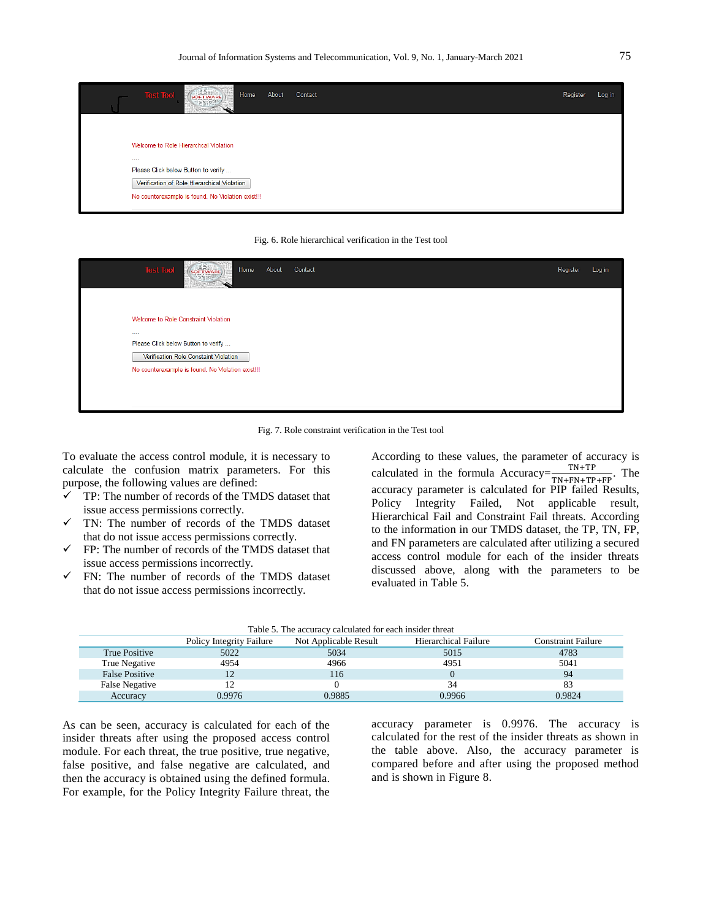

#### Fig. 6. Role hierarchical verification in the Test tool

| <b>Test Tool</b><br>$($ SOFTWARE)<br>About<br>Home<br>KNOW-TRAY                             | Contact | Register | Log in |
|---------------------------------------------------------------------------------------------|---------|----------|--------|
|                                                                                             |         |          |        |
| Welcome to Role Constraint Violation                                                        |         |          |        |
| 1.111<br>Please Click below Button to verify                                                |         |          |        |
| Verification Role Constaint Violation<br>No counterexample is found. No Violation exist !!! |         |          |        |
|                                                                                             |         |          |        |
|                                                                                             |         |          |        |

Fig. 7. Role constraint verification in the Test tool

To evaluate the access control module, it is necessary to calculate the confusion matrix parameters. For this purpose, the following values are defined:

- $\checkmark$  TP: The number of records of the TMDS dataset that issue access permissions correctly.
- TN: The number of records of the TMDS dataset that do not issue access permissions correctly.
- $\checkmark$  FP: The number of records of the TMDS dataset that issue access permissions incorrectly.
- $\checkmark$  FN: The number of records of the TMDS dataset that do not issue access permissions incorrectly.

According to these values, the parameter of accuracy is calculated in the formula Accuracy= $\frac{TN+TP}{TN+FN+TP+FP}$ . The accuracy parameter is calculated for PIP failed Results, Policy Integrity Failed, Not applicable result, Hierarchical Fail and Constraint Fail threats. According to the information in our TMDS dataset, the TP, TN, FP, and FN parameters are calculated after utilizing a secured access control module for each of the insider threats discussed above, along with the parameters to be evaluated in Table 5.

|  |  | Table 5. The accuracy calculated for each insider threat |  |  |  |
|--|--|----------------------------------------------------------|--|--|--|
|  |  |                                                          |  |  |  |

|                       | <b>Policy Integrity Failure</b> | Not Applicable Result | Hierarchical Failure | Constraint Failure |
|-----------------------|---------------------------------|-----------------------|----------------------|--------------------|
| True Positive         | 5022                            | 5034                  | 5015                 | 4783               |
| True Negative         | 4954                            | 4966                  | 4951                 | 5041               |
| <b>False Positive</b> | $\overline{1}$                  | 116                   |                      | 94                 |
| False Negative        |                                 |                       | 34                   |                    |
| Accuracy              | 0.9976                          | 0.9885                | 0.9966               | 0.9824             |

As can be seen, accuracy is calculated for each of the insider threats after using the proposed access control module. For each threat, the true positive, true negative, false positive, and false negative are calculated, and then the accuracy is obtained using the defined formula. For example, for the Policy Integrity Failure threat, the accuracy parameter is 0.9976. The accuracy is calculated for the rest of the insider threats as shown in the table above. Also, the accuracy parameter is compared before and after using the proposed method and is shown in Figure 8.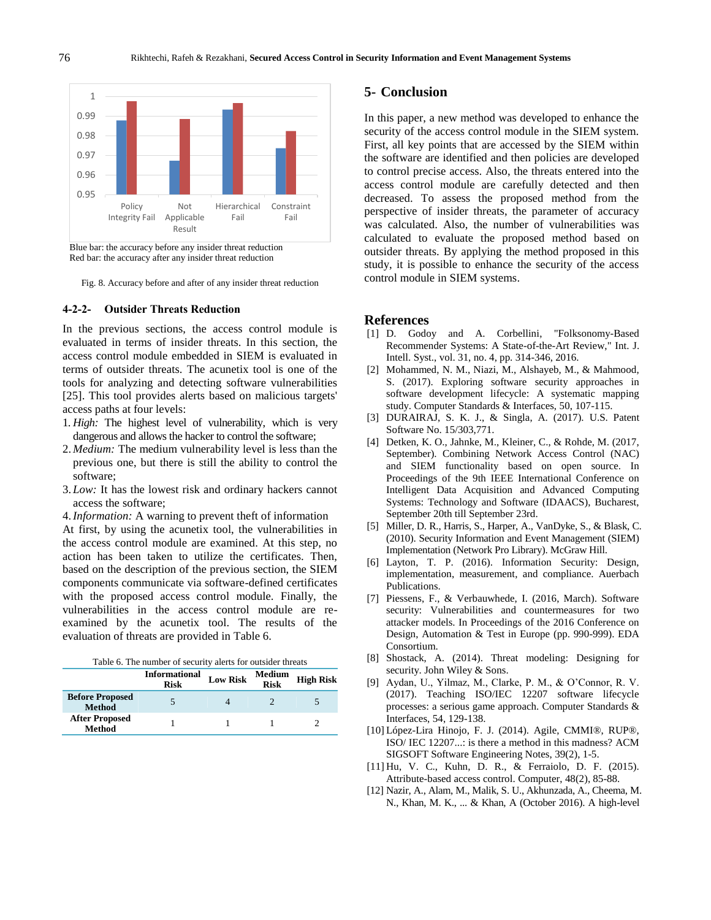

 Blue bar: the accuracy before any insider threat reduction Red bar: the accuracy after any insider threat reduction

Fig. 8. Accuracy before and after of any insider threat reduction

#### **4-2-2- Outsider Threats Reduction**

In the previous sections, the access control module is evaluated in terms of insider threats. In this section, the access control module embedded in SIEM is evaluated in terms of outsider threats. The acunetix tool is one of the tools for analyzing and detecting software vulnerabilities [25]. This tool provides alerts based on malicious targets' access paths at four levels:

- 1. *High:* The highest level of vulnerability, which is very dangerous and allows the hacker to control the software;
- 2. *Medium:* The medium vulnerability level is less than the previous one, but there is still the ability to control the software;
- 3. *Low:* It has the lowest risk and ordinary hackers cannot access the software;

4.*Information:* A warning to prevent theft of information At first, by using the acunetix tool, the vulnerabilities in the access control module are examined. At this step, no action has been taken to utilize the certificates. Then, based on the description of the previous section, the SIEM components communicate via software-defined certificates with the proposed access control module. Finally, the vulnerabilities in the access control module are reexamined by the acunetix tool. The results of the evaluation of threats are provided in Table 6.

|  |  |  | Table 6. The number of security alerts for outsider threats |  |
|--|--|--|-------------------------------------------------------------|--|
|  |  |  |                                                             |  |

|                                         | <b>Informational</b><br><b>Risk</b> | <b>Low Risk</b> | Medium<br><b>Risk</b> | <b>High Risk</b> |
|-----------------------------------------|-------------------------------------|-----------------|-----------------------|------------------|
| <b>Before Proposed</b><br><b>Method</b> |                                     |                 |                       |                  |
| <b>After Proposed</b><br><b>Method</b>  |                                     |                 |                       |                  |

## **5- Conclusion**

In this paper, a new method was developed to enhance the security of the access control module in the SIEM system. First, all key points that are accessed by the SIEM within the software are identified and then policies are developed to control precise access. Also, the threats entered into the access control module are carefully detected and then decreased. To assess the proposed method from the perspective of insider threats, the parameter of accuracy was calculated. Also, the number of vulnerabilities was calculated to evaluate the proposed method based on outsider threats. By applying the method proposed in this study, it is possible to enhance the security of the access control module in SIEM systems.

#### **References**

- [1] D. Godoy and A. Corbellini, "Folksonomy-Based Recommender Systems: A State-of-the-Art Review," Int. J. Intell. Syst., vol. 31, no. 4, pp. 314-346, 2016.
- [2] Mohammed, N. M., Niazi, M., Alshayeb, M., & Mahmood, S. (2017). Exploring software security approaches in software development lifecycle: A systematic mapping study. Computer Standards & Interfaces, 50, 107-115.
- [3] DURAIRAJ, S. K. J., & Singla, A. (2017). U.S. Patent Software No. 15/303,771.
- [4] Detken, K. O., Jahnke, M., Kleiner, C., & Rohde, M. (2017, September). Combining Network Access Control (NAC) and SIEM functionality based on open source. In Proceedings of the 9th IEEE International Conference on Intelligent Data Acquisition and Advanced Computing Systems: Technology and Software (IDAACS), Bucharest, September 20th till September 23rd.
- [5] Miller, D. R., Harris, S., Harper, A., VanDyke, S., & Blask, C. (2010). Security Information and Event Management (SIEM) Implementation (Network Pro Library). McGraw Hill.
- [6] Layton, T. P. (2016). Information Security: Design, implementation, measurement, and compliance. Auerbach Publications.
- [7] Piessens, F., & Verbauwhede, I. (2016, March). Software security: Vulnerabilities and countermeasures for two attacker models. In Proceedings of the 2016 Conference on Design, Automation & Test in Europe (pp. 990-999). EDA Consortium.
- [8] Shostack, A. (2014). Threat modeling: Designing for security. John Wiley & Sons.
- [9] Aydan, U., Yilmaz, M., Clarke, P. M., & O'Connor, R. V. (2017). Teaching ISO/IEC 12207 software lifecycle processes: a serious game approach. Computer Standards & Interfaces, 54, 129-138.
- [10] López-Lira Hinojo, F. J. (2014). Agile, CMMI®, RUP®, ISO/ IEC 12207...: is there a method in this madness? ACM SIGSOFT Software Engineering Notes, 39(2), 1-5.
- [11] Hu, V. C., Kuhn, D. R., & Ferraiolo, D. F. (2015). Attribute-based access control. Computer, 48(2), 85-88.
- [12] Nazir, A., Alam, M., Malik, S. U., Akhunzada, A., Cheema, M. N., Khan, M. K., ... & Khan, A (October 2016). A high-level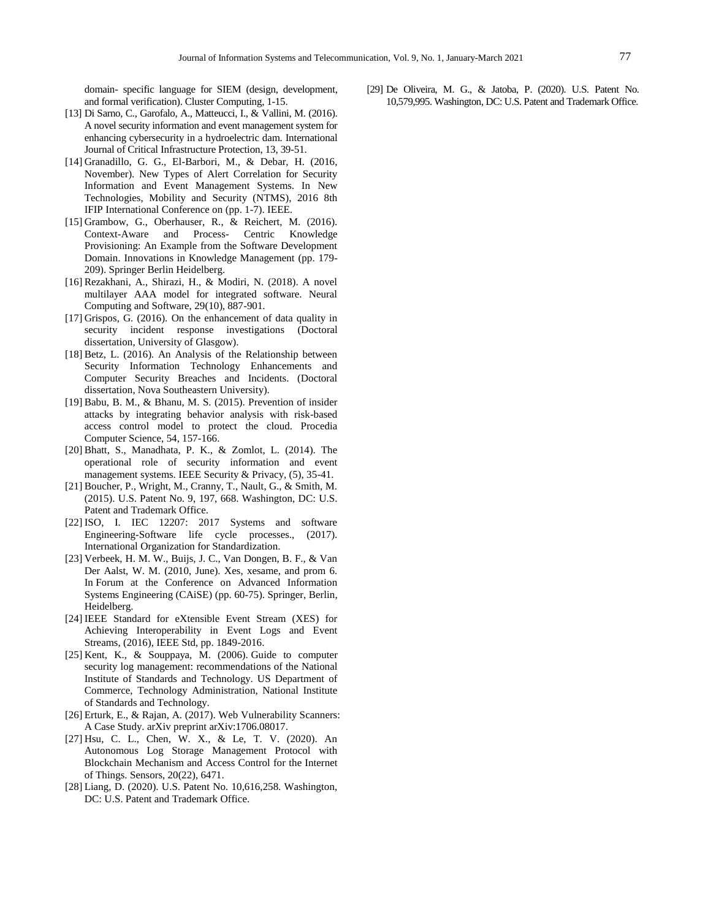domain- specific language for SIEM (design, development, and formal verification). Cluster Computing, 1-15.

- [13] Di Sarno, C., Garofalo, A., Matteucci, I., & Vallini, M. (2016). A novel security information and event management system for enhancing cybersecurity in a hydroelectric dam. International Journal of Critical Infrastructure Protection, 13, 39-51.
- [14] Granadillo, G. G., El-Barbori, M., & Debar, H. (2016, November). New Types of Alert Correlation for Security Information and Event Management Systems. In New Technologies, Mobility and Security (NTMS), 2016 8th IFIP International Conference on (pp. 1-7). IEEE.
- [15] Grambow, G., Oberhauser, R., & Reichert, M. (2016). Context-Aware and Process- Centric Knowledge Provisioning: An Example from the Software Development Domain. Innovations in Knowledge Management (pp. 179- 209). Springer Berlin Heidelberg.
- [16] Rezakhani, A., Shirazi, H., & Modiri, N. (2018). A novel multilayer AAA model for integrated software. Neural Computing and Software, 29(10), 887-901.
- [17] Grispos, G. (2016). On the enhancement of data quality in security incident response investigations (Doctoral dissertation, University of Glasgow).
- [18] Betz, L. (2016). An Analysis of the Relationship between Security Information Technology Enhancements and Computer Security Breaches and Incidents. (Doctoral dissertation, Nova Southeastern University).
- [19] Babu, B. M., & Bhanu, M. S. (2015). Prevention of insider attacks by integrating behavior analysis with risk-based access control model to protect the cloud. Procedia Computer Science, 54, 157-166.
- [20] Bhatt, S., Manadhata, P. K., & Zomlot, L. (2014). The operational role of security information and event management systems. IEEE Security & Privacy,  $(5)$ , 35-41.
- [21] Boucher, P., Wright, M., Cranny, T., Nault, G., & Smith, M. (2015). U.S. Patent No. 9, 197, 668. Washington, DC: U.S. Patent and Trademark Office.
- [22] ISO, I. IEC 12207: 2017 Systems and software Engineering-Software life cycle processes., (2017). International Organization for Standardization.
- [23] Verbeek, H. M. W., Buijs, J. C., Van Dongen, B. F., & Van Der Aalst, W. M. (2010, June). Xes, xesame, and prom 6. In Forum at the Conference on Advanced Information Systems Engineering (CAiSE) (pp. 60-75). Springer, Berlin, Heidelberg.
- [24] IEEE Standard for eXtensible Event Stream (XES) for Achieving Interoperability in Event Logs and Event Streams, (2016), IEEE Std, pp. 1849-2016.
- [25] Kent, K., & Souppaya, M. (2006). Guide to computer security log management: recommendations of the National Institute of Standards and Technology. US Department of Commerce, Technology Administration, National Institute of Standards and Technology.
- [26] Erturk, E., & Rajan, A. (2017). Web Vulnerability Scanners: A Case Study. arXiv preprint arXiv:1706.08017.
- [27] Hsu, C. L., Chen, W. X., & Le, T. V. (2020). An Autonomous Log Storage Management Protocol with Blockchain Mechanism and Access Control for the Internet of Things. Sensors, 20(22), 6471.
- [28] Liang, D. (2020). U.S. Patent No. 10,616,258. Washington, DC: U.S. Patent and Trademark Office.

[29] De Oliveira, M. G., & Jatoba, P. (2020). U.S. Patent No. 10,579,995. Washington, DC: U.S. Patent and Trademark Office.